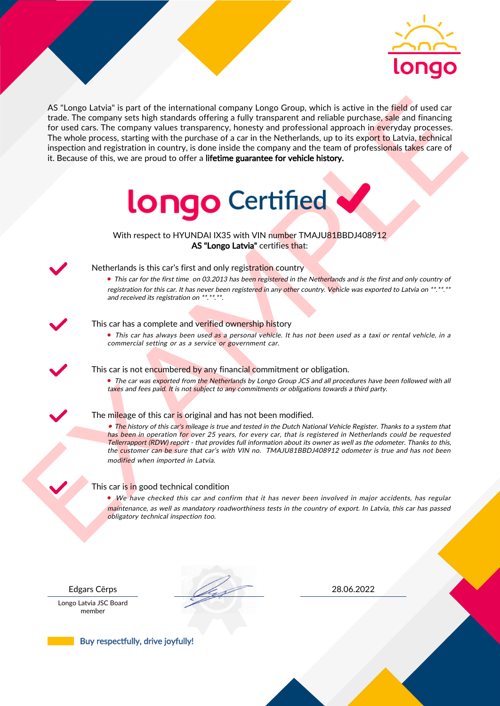

As the nearest of the intermediate company length Control with such on the field of used car<br>for the field of used car for the company such that the company is the company of the company of the company of the company inte AS "Longo Latvia" is part of the international company Longo Group, which is active in the field of used car trade. The company sets high standards offering a fully transparent and reliable purchase, sale and financing for used cars. The company values transparency, honesty and professional approach in everyday processes. The whole process, starting with the purchase of a car in the Netherlands, up to its export to Latvia, technical inspection and registration in country, is done inside the company and the team of professionals takes care of it. Because of this, we are proud to offer a lifetime guarantee for vehicle history.



With respect to HYUNDAI IX35 with VIN number TMAJU81BBDJ408912 AS "Longo Latvia" certifies that:



## Netherlands is this car's first and only registration country

• This car for the first time on 03.2013 has been registered in the Netherlands and is the first and only country of registration for this car. It has never been registered in any other country. Vehicle was exported to Latvia on \*\*.\*\*.\*\* and received its registration on \*\*.\*\*.\*\*.

### This car has a complete and verified ownership history

• This car has always been used as a personal vehicle. It has not been used as a taxi or rental vehicle, in a commercial setting or as a service or government car.

This car is not encumbered by any financial commitment or obligation.

• The car was exported from the Netherlands by Longo Group JCS and all procedures have been followed with all taxes and fees paid. It is not subject to any commitments or obligations towards a third party.

### The mileage of this car is original and has not been modified.

• The history of this car's mileage is true and tested in the Dutch National Vehicle Register. Thanks to a system that has been in operation for over 25 years, for every car, that is registered in Netherlands could be requested Tellerrapport (RDW) report - that provides full information about its owner as well as the odometer. Thanks to this, the customer can be sure that car's with VIN no. TMAJU81BBDJ408912 odometer is true and has not been modified when imported in Latvia.

### This car is in good technical condition

• We have checked this car and confirm that it has never been involved in major accidents, has regular maintenance, as well as mandatory roadworthiness tests in the country of export. In Latvia, this car has passed obligatory technical inspection too.

Longo Latvia JSC Board member

Edgars Cērps 28.06.2022

Buy respectfully, drive joyfully!